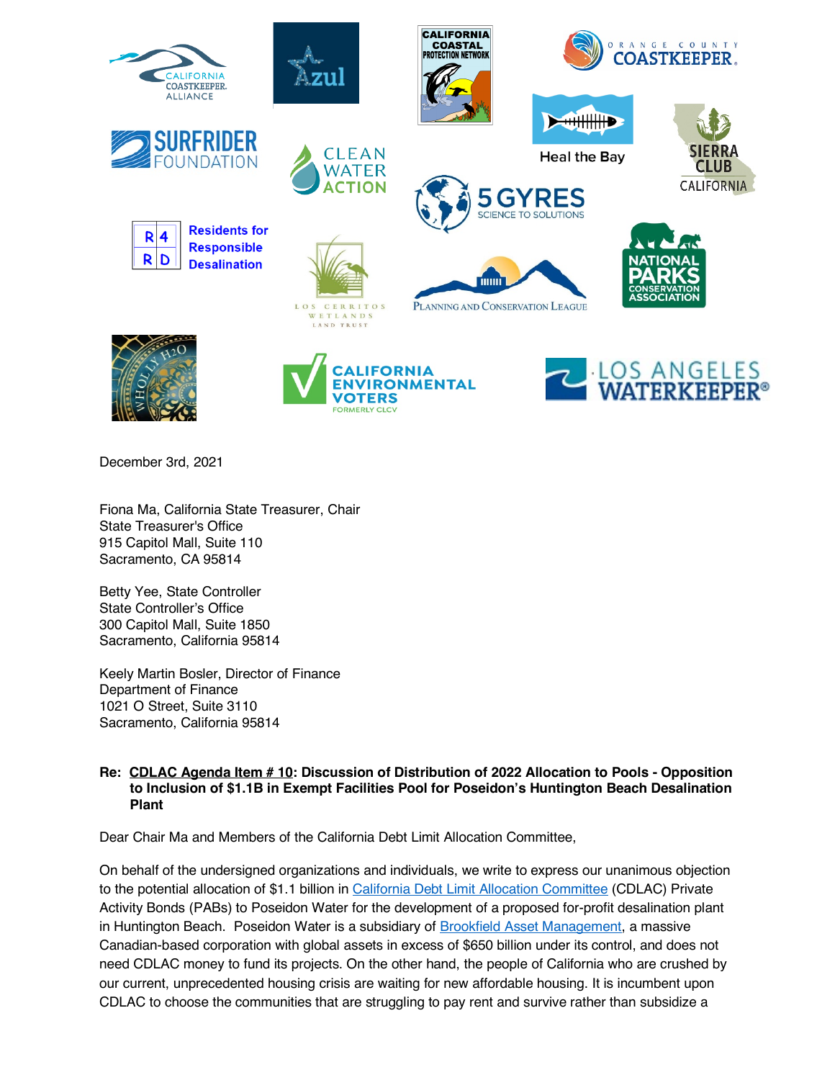

December 3rd, 2021

Fiona Ma, California State Treasurer, Chair State Treasurer's Office 915 Capitol Mall, Suite 110 Sacramento, CA 95814

Betty Yee, State Controller State Controller's Office 300 Capitol Mall, Suite 1850 Sacramento, California 95814

Keely Martin Bosler, Director of Finance Department of Finance 1021 O Street, Suite 3110 Sacramento, California 95814

## **Re: CDLAC Agenda Item # 10: Discussion of Distribution of 2022 Allocation to Pools - Opposition to Inclusion of \$1.1B in Exempt Facilities Pool for Poseidon's Huntington Beach Desalination Plant**

Dear Chair Ma and Members of the California Debt Limit Allocation Committee,

On behalf of the undersigned organizations and individuals, we write to express our unanimous objection to the potential allocation of \$1.1 billion in California Debt Limit Allocation Committee (CDLAC) Private Activity Bonds (PABs) to Poseidon Water for the development of a proposed for-profit desalination plant in Huntington Beach. Poseidon Water is a subsidiary of Brookfield Asset Management, a massive Canadian-based corporation with global assets in excess of \$650 billion under its control, and does not need CDLAC money to fund its projects. On the other hand, the people of California who are crushed by our current, unprecedented housing crisis are waiting for new affordable housing. It is incumbent upon CDLAC to choose the communities that are struggling to pay rent and survive rather than subsidize a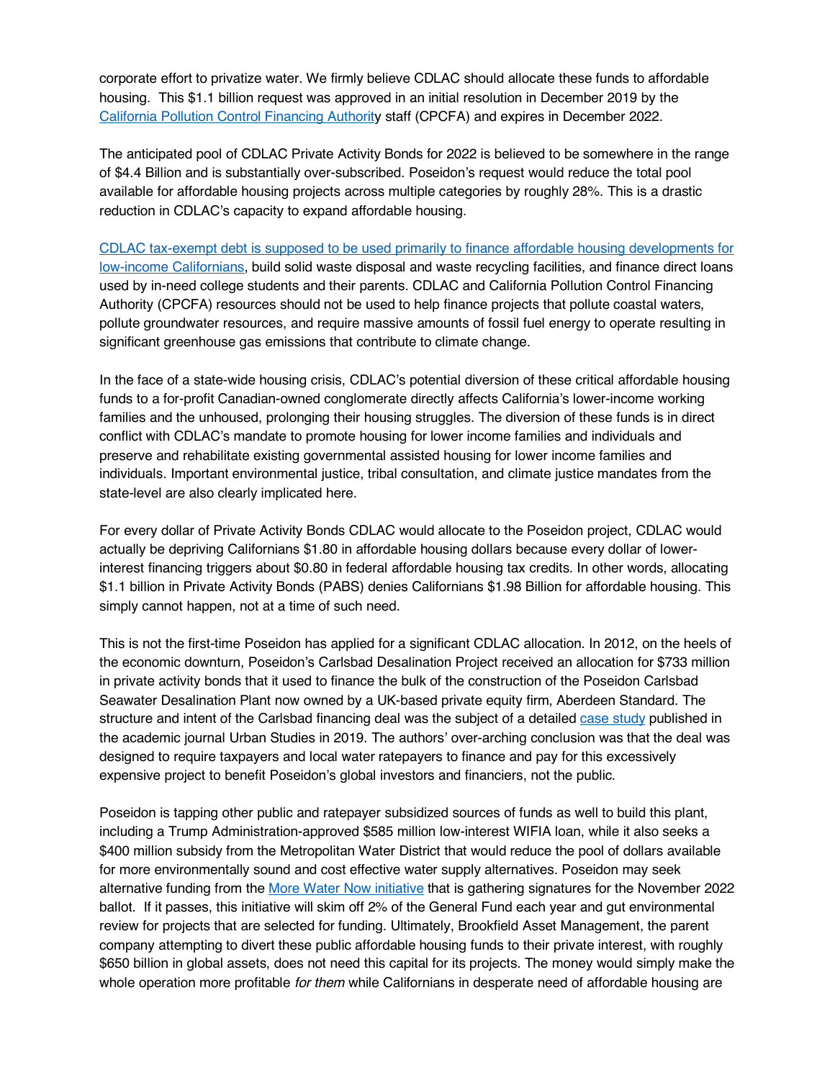corporate effort to privatize water. We firmly believe CDLAC should allocate these funds to affordable housing. This \$1.1 billion request was approved in an initial resolution in December 2019 by the California Pollution Control Financing Authority staff (CPCFA) and expires in December 2022.

The anticipated pool of CDLAC Private Activity Bonds for 2022 is believed to be somewhere in the range of \$4.4 Billion and is substantially over-subscribed. Poseidon's request would reduce the total pool available for affordable housing projects across multiple categories by roughly 28%. This is a drastic reduction in CDLAC's capacity to expand affordable housing.

CDLAC tax-exempt debt is supposed to be used primarily to finance affordable housing developments for low-income Californians, build solid waste disposal and waste recycling facilities, and finance direct loans used by in-need college students and their parents. CDLAC and California Pollution Control Financing Authority (CPCFA) resources should not be used to help finance projects that pollute coastal waters, pollute groundwater resources, and require massive amounts of fossil fuel energy to operate resulting in significant greenhouse gas emissions that contribute to climate change.

In the face of a state-wide housing crisis, CDLAC's potential diversion of these critical affordable housing funds to a for-profit Canadian-owned conglomerate directly affects California's lower-income working families and the unhoused, prolonging their housing struggles. The diversion of these funds is in direct conflict with CDLAC's mandate to promote housing for lower income families and individuals and preserve and rehabilitate existing governmental assisted housing for lower income families and individuals. Important environmental justice, tribal consultation, and climate justice mandates from the state-level are also clearly implicated here.

For every dollar of Private Activity Bonds CDLAC would allocate to the Poseidon project, CDLAC would actually be depriving Californians \$1.80 in affordable housing dollars because every dollar of lowerinterest financing triggers about \$0.80 in federal affordable housing tax credits. In other words, allocating \$1.1 billion in Private Activity Bonds (PABS) denies Californians \$1.98 Billion for affordable housing. This simply cannot happen, not at a time of such need.

This is not the first-time Poseidon has applied for a significant CDLAC allocation. In 2012, on the heels of the economic downturn, Poseidon's Carlsbad Desalination Project received an allocation for \$733 million in private activity bonds that it used to finance the bulk of the construction of the Poseidon Carlsbad Seawater Desalination Plant now owned by a UK-based private equity firm, Aberdeen Standard. The structure and intent of the Carlsbad financing deal was the subject of a detailed case study published in the academic journal Urban Studies in 2019. The authors' over-arching conclusion was that the deal was designed to require taxpayers and local water ratepayers to finance and pay for this excessively expensive project to benefit Poseidon's global investors and financiers, not the public.

Poseidon is tapping other public and ratepayer subsidized sources of funds as well to build this plant, including a Trump Administration-approved \$585 million low-interest WIFIA loan, while it also seeks a \$400 million subsidy from the Metropolitan Water District that would reduce the pool of dollars available for more environmentally sound and cost effective water supply alternatives. Poseidon may seek alternative funding from the More Water Now initiative that is gathering signatures for the November 2022 ballot. If it passes, this initiative will skim off 2% of the General Fund each year and gut environmental review for projects that are selected for funding. Ultimately, Brookfield Asset Management, the parent company attempting to divert these public affordable housing funds to their private interest, with roughly \$650 billion in global assets, does not need this capital for its projects. The money would simply make the whole operation more profitable *for them* while Californians in desperate need of affordable housing are